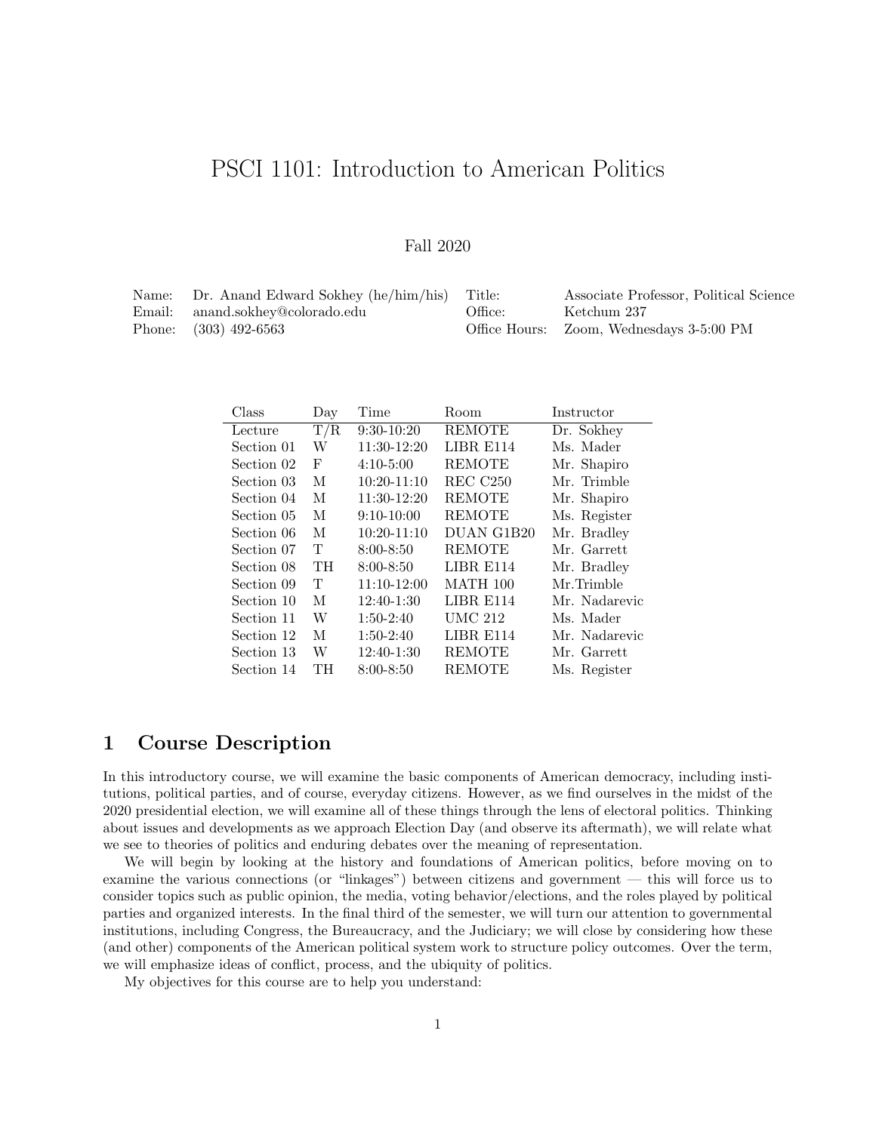# PSCI 1101: Introduction to American Politics

### Fall 2020

| Name: Dr. Anand Edward Sokhey (he/him/his) Title: |         | Associate Professor, Political Science   |
|---------------------------------------------------|---------|------------------------------------------|
| Email: anand.sokhey@colorado.edu                  | Office: | Ketchum 237                              |
| Phone: $(303)$ 492-6563                           |         | Office Hours: Zoom, Wednesdays 3-5:00 PM |

| Class      | Day       | Time          | Room            | Instructor    |
|------------|-----------|---------------|-----------------|---------------|
| Lecture    | T/R       | $9:30-10:20$  | <b>REMOTE</b>   | Dr. Sokhey    |
| Section 01 | W         | 11:30-12:20   | LIBR E114       | Ms. Mader     |
| Section 02 | F         | $4:10-5:00$   | <b>REMOTE</b>   | Mr. Shapiro   |
| Section 03 | М         | $10:20-11:10$ | $REC$ $C250$    | Mr. Trimble   |
| Section 04 | М         | 11:30-12:20   | <b>REMOTE</b>   | Mr. Shapiro   |
| Section 05 | M         | $9:10-10:00$  | <b>REMOTE</b>   | Ms. Register  |
| Section 06 | М         | $10:20-11:10$ | DUAN G1B20      | Mr. Bradley   |
| Section 07 | T         | $8:00 - 8:50$ | <b>REMOTE</b>   | Mr. Garrett   |
| Section 08 | <b>TH</b> | $8:00 - 8:50$ | LIBR E114       | Mr. Bradley   |
| Section 09 | Т         | 11:10-12:00   | <b>MATH 100</b> | Mr.Trimble    |
| Section 10 | M         | $12:40-1:30$  | LIBR E114       | Mr. Nadarevic |
| Section 11 | W         | $1:50-2:40$   | <b>UMC 212</b>  | Ms. Mader     |
| Section 12 | М         | $1:50-2:40$   | LIBR E114       | Mr. Nadarevic |
| Section 13 | W         | 12:40-1:30    | <b>REMOTE</b>   | Mr. Garrett   |
| Section 14 | TH        | $8:00 - 8:50$ | <b>REMOTE</b>   | Ms. Register  |

# 1 Course Description

In this introductory course, we will examine the basic components of American democracy, including institutions, political parties, and of course, everyday citizens. However, as we find ourselves in the midst of the 2020 presidential election, we will examine all of these things through the lens of electoral politics. Thinking about issues and developments as we approach Election Day (and observe its aftermath), we will relate what we see to theories of politics and enduring debates over the meaning of representation.

We will begin by looking at the history and foundations of American politics, before moving on to examine the various connections (or "linkages") between citizens and government — this will force us to consider topics such as public opinion, the media, voting behavior/elections, and the roles played by political parties and organized interests. In the final third of the semester, we will turn our attention to governmental institutions, including Congress, the Bureaucracy, and the Judiciary; we will close by considering how these (and other) components of the American political system work to structure policy outcomes. Over the term, we will emphasize ideas of conflict, process, and the ubiquity of politics.

My objectives for this course are to help you understand: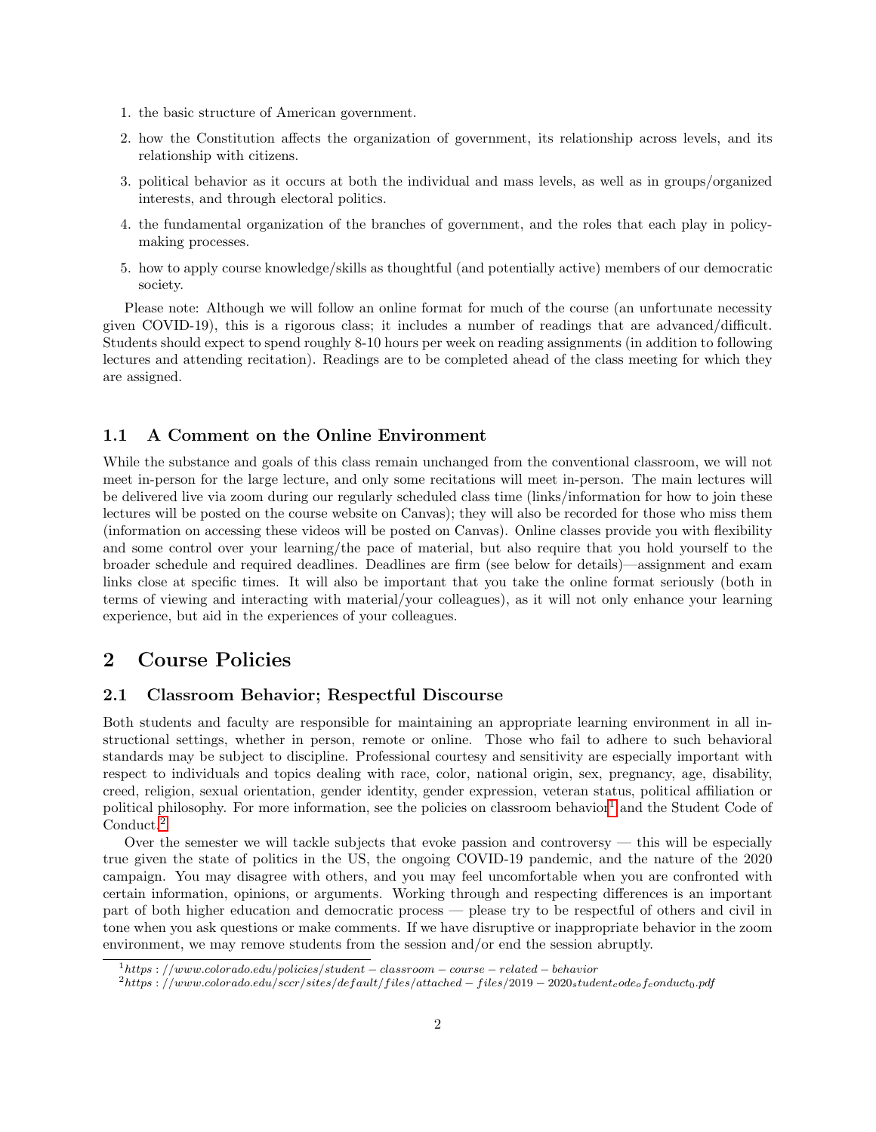- 1. the basic structure of American government.
- 2. how the Constitution affects the organization of government, its relationship across levels, and its relationship with citizens.
- 3. political behavior as it occurs at both the individual and mass levels, as well as in groups/organized interests, and through electoral politics.
- 4. the fundamental organization of the branches of government, and the roles that each play in policymaking processes.
- 5. how to apply course knowledge/skills as thoughtful (and potentially active) members of our democratic society.

Please note: Although we will follow an online format for much of the course (an unfortunate necessity given COVID-19), this is a rigorous class; it includes a number of readings that are advanced/difficult. Students should expect to spend roughly 8-10 hours per week on reading assignments (in addition to following lectures and attending recitation). Readings are to be completed ahead of the class meeting for which they are assigned.

### 1.1 A Comment on the Online Environment

While the substance and goals of this class remain unchanged from the conventional classroom, we will not meet in-person for the large lecture, and only some recitations will meet in-person. The main lectures will be delivered live via zoom during our regularly scheduled class time (links/information for how to join these lectures will be posted on the course website on Canvas); they will also be recorded for those who miss them (information on accessing these videos will be posted on Canvas). Online classes provide you with flexibility and some control over your learning/the pace of material, but also require that you hold yourself to the broader schedule and required deadlines. Deadlines are firm (see below for details)—assignment and exam links close at specific times. It will also be important that you take the online format seriously (both in terms of viewing and interacting with material/your colleagues), as it will not only enhance your learning experience, but aid in the experiences of your colleagues.

# 2 Course Policies

### 2.1 Classroom Behavior; Respectful Discourse

Both students and faculty are responsible for maintaining an appropriate learning environment in all instructional settings, whether in person, remote or online. Those who fail to adhere to such behavioral standards may be subject to discipline. Professional courtesy and sensitivity are especially important with respect to individuals and topics dealing with race, color, national origin, sex, pregnancy, age, disability, creed, religion, sexual orientation, gender identity, gender expression, veteran status, political affiliation or political philosophy. For more information, see the policies on classroom behavior<sup>[1](#page-1-0)</sup> and the Student Code of Conduct.[2](#page-1-1)

Over the semester we will tackle subjects that evoke passion and controversy — this will be especially true given the state of politics in the US, the ongoing COVID-19 pandemic, and the nature of the 2020 campaign. You may disagree with others, and you may feel uncomfortable when you are confronted with certain information, opinions, or arguments. Working through and respecting differences is an important part of both higher education and democratic process — please try to be respectful of others and civil in tone when you ask questions or make comments. If we have disruptive or inappropriate behavior in the zoom environment, we may remove students from the session and/or end the session abruptly.

<span id="page-1-0"></span> $1<sub>https://www.colorado.edu/polices/student-classroom-course-related-behavor</sub>$ 

<span id="page-1-1"></span> $2$ https : //www.colorado.edu/sccr/sites/default/files/attached – files/2019 – 2020studentcode $_0$ fconduct $_0$ .pdf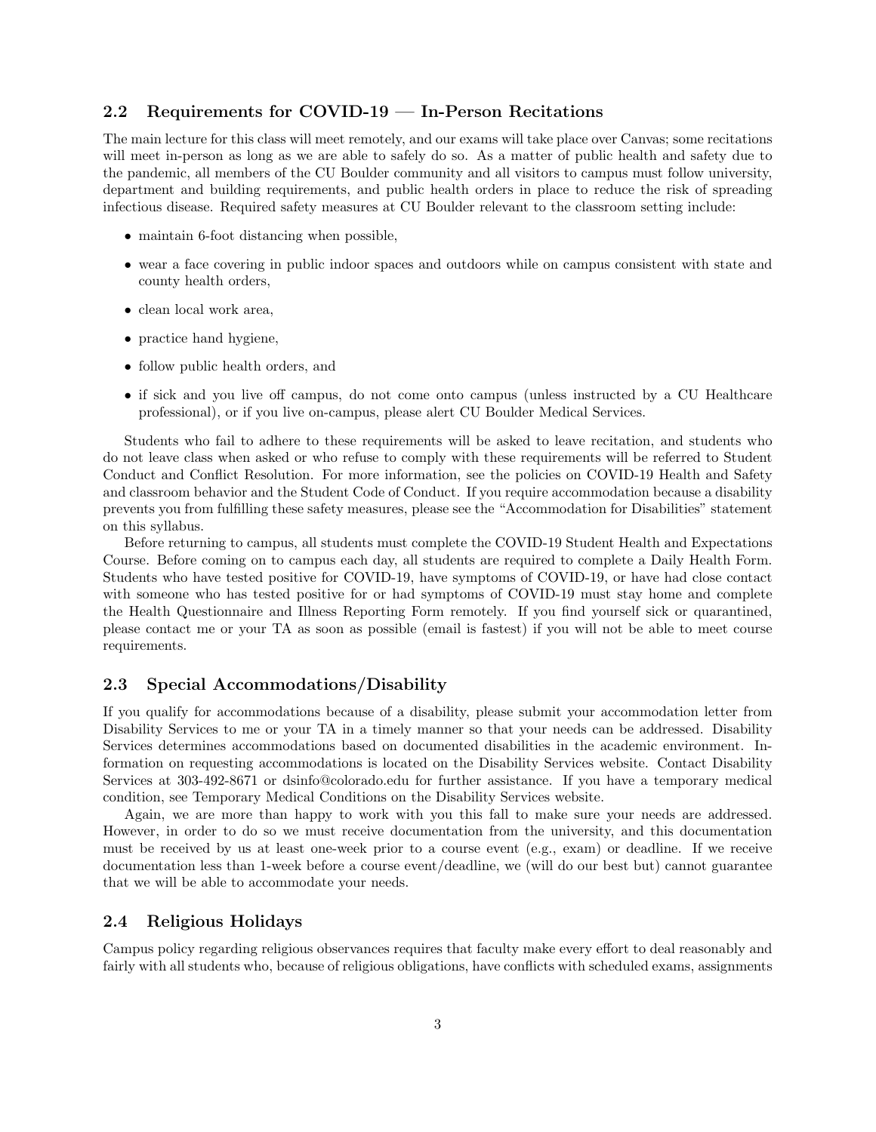### 2.2 Requirements for COVID-19 — In-Person Recitations

The main lecture for this class will meet remotely, and our exams will take place over Canvas; some recitations will meet in-person as long as we are able to safely do so. As a matter of public health and safety due to the pandemic, all members of the CU Boulder community and all visitors to campus must follow university, department and building requirements, and public health orders in place to reduce the risk of spreading infectious disease. Required safety measures at CU Boulder relevant to the classroom setting include:

- maintain 6-foot distancing when possible,
- wear a face covering in public indoor spaces and outdoors while on campus consistent with state and county health orders,
- clean local work area,
- practice hand hygiene,
- follow public health orders, and
- if sick and you live off campus, do not come onto campus (unless instructed by a CU Healthcare professional), or if you live on-campus, please alert CU Boulder Medical Services.

Students who fail to adhere to these requirements will be asked to leave recitation, and students who do not leave class when asked or who refuse to comply with these requirements will be referred to Student Conduct and Conflict Resolution. For more information, see the policies on COVID-19 Health and Safety and classroom behavior and the Student Code of Conduct. If you require accommodation because a disability prevents you from fulfilling these safety measures, please see the "Accommodation for Disabilities" statement on this syllabus.

Before returning to campus, all students must complete the COVID-19 Student Health and Expectations Course. Before coming on to campus each day, all students are required to complete a Daily Health Form. Students who have tested positive for COVID-19, have symptoms of COVID-19, or have had close contact with someone who has tested positive for or had symptoms of COVID-19 must stay home and complete the Health Questionnaire and Illness Reporting Form remotely. If you find yourself sick or quarantined, please contact me or your TA as soon as possible (email is fastest) if you will not be able to meet course requirements.

### 2.3 Special Accommodations/Disability

If you qualify for accommodations because of a disability, please submit your accommodation letter from Disability Services to me or your TA in a timely manner so that your needs can be addressed. Disability Services determines accommodations based on documented disabilities in the academic environment. Information on requesting accommodations is located on the Disability Services website. Contact Disability Services at 303-492-8671 or dsinfo@colorado.edu for further assistance. If you have a temporary medical condition, see Temporary Medical Conditions on the Disability Services website.

Again, we are more than happy to work with you this fall to make sure your needs are addressed. However, in order to do so we must receive documentation from the university, and this documentation must be received by us at least one-week prior to a course event (e.g., exam) or deadline. If we receive documentation less than 1-week before a course event/deadline, we (will do our best but) cannot guarantee that we will be able to accommodate your needs.

### 2.4 Religious Holidays

Campus policy regarding religious observances requires that faculty make every effort to deal reasonably and fairly with all students who, because of religious obligations, have conflicts with scheduled exams, assignments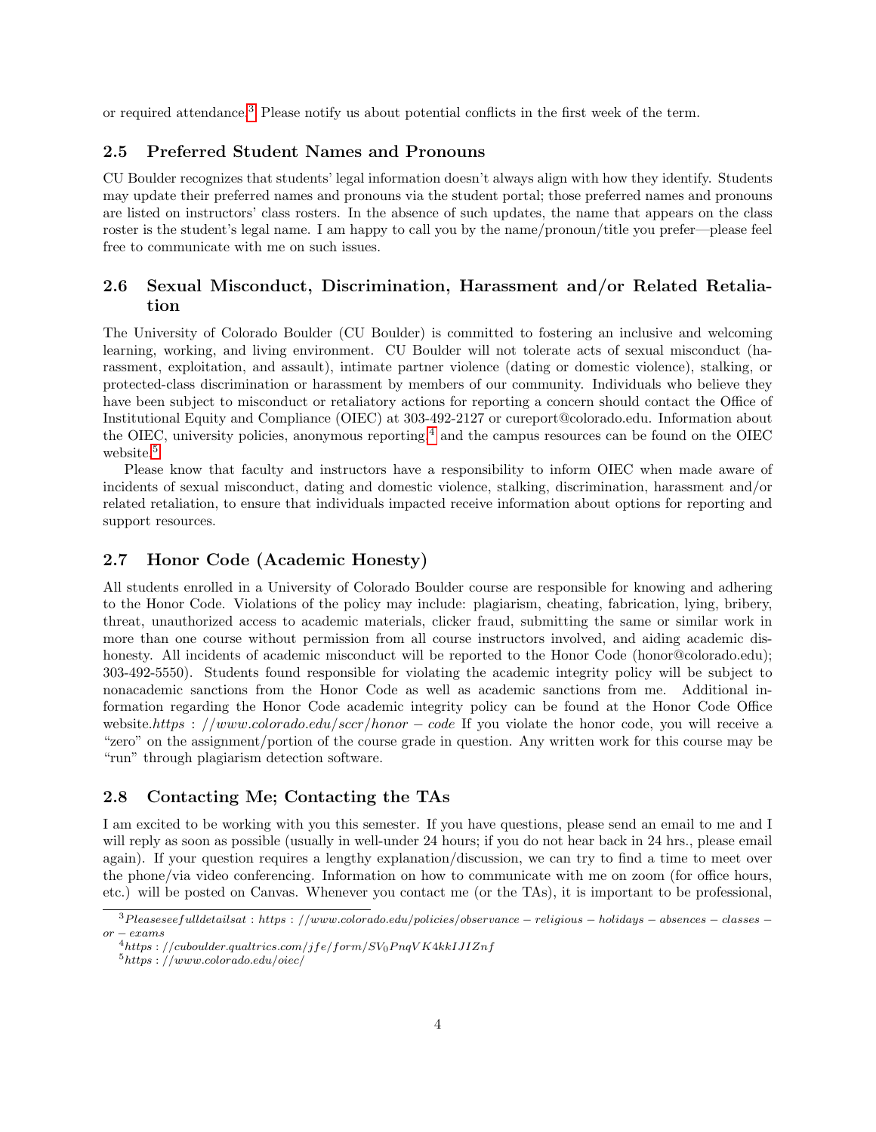or required attendance.[3](#page-3-0) Please notify us about potential conflicts in the first week of the term.

### 2.5 Preferred Student Names and Pronouns

CU Boulder recognizes that students' legal information doesn't always align with how they identify. Students may update their preferred names and pronouns via the student portal; those preferred names and pronouns are listed on instructors' class rosters. In the absence of such updates, the name that appears on the class roster is the student's legal name. I am happy to call you by the name/pronoun/title you prefer—please feel free to communicate with me on such issues.

### 2.6 Sexual Misconduct, Discrimination, Harassment and/or Related Retaliation

The University of Colorado Boulder (CU Boulder) is committed to fostering an inclusive and welcoming learning, working, and living environment. CU Boulder will not tolerate acts of sexual misconduct (harassment, exploitation, and assault), intimate partner violence (dating or domestic violence), stalking, or protected-class discrimination or harassment by members of our community. Individuals who believe they have been subject to misconduct or retaliatory actions for reporting a concern should contact the Office of Institutional Equity and Compliance (OIEC) at 303-492-2127 or cureport@colorado.edu. Information about the OIEC, university policies, anonymous reporting,  $4$  and the campus resources can be found on the OIEC website.<sup>[5](#page-3-2)</sup>

Please know that faculty and instructors have a responsibility to inform OIEC when made aware of incidents of sexual misconduct, dating and domestic violence, stalking, discrimination, harassment and/or related retaliation, to ensure that individuals impacted receive information about options for reporting and support resources.

#### 2.7 Honor Code (Academic Honesty)

All students enrolled in a University of Colorado Boulder course are responsible for knowing and adhering to the Honor Code. Violations of the policy may include: plagiarism, cheating, fabrication, lying, bribery, threat, unauthorized access to academic materials, clicker fraud, submitting the same or similar work in more than one course without permission from all course instructors involved, and aiding academic dishonesty. All incidents of academic misconduct will be reported to the Honor Code (honor@colorado.edu); 303-492-5550). Students found responsible for violating the academic integrity policy will be subject to nonacademic sanctions from the Honor Code as well as academic sanctions from me. Additional information regarding the Honor Code academic integrity policy can be found at the Honor Code Office website.https : //www.colorado.edu/sccr/honor – code If you violate the honor code, you will receive a "zero" on the assignment/portion of the course grade in question. Any written work for this course may be "run" through plagiarism detection software.

### 2.8 Contacting Me; Contacting the TAs

I am excited to be working with you this semester. If you have questions, please send an email to me and I will reply as soon as possible (usually in well-under 24 hours; if you do not hear back in 24 hrs., please email again). If your question requires a lengthy explanation/discussion, we can try to find a time to meet over the phone/via video conferencing. Information on how to communicate with me on zoom (for office hours, etc.) will be posted on Canvas. Whenever you contact me (or the TAs), it is important to be professional,

<span id="page-3-0"></span> $3P \, leaves \, set full details at : \, https://www.colorado.edu/policies/observance - religious - holdings - absences - classes -\$  $or - exams$ 

<span id="page-3-1"></span> $4$ https://cuboulder.qualtrics.com/jfe/form/SV<sub>0</sub>PnqVK4kkIJIZnf

<span id="page-3-2"></span> $5$ https : //www.colorado.edu/oiec/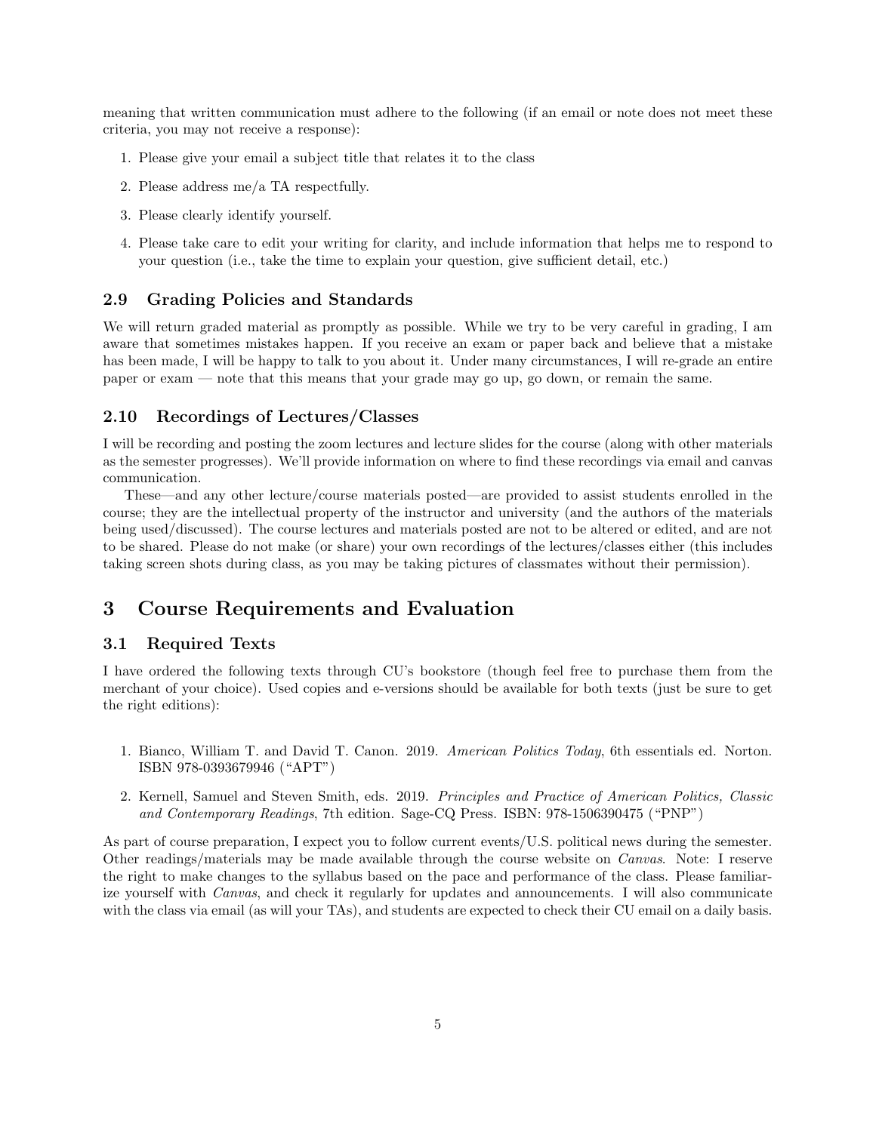meaning that written communication must adhere to the following (if an email or note does not meet these criteria, you may not receive a response):

- 1. Please give your email a subject title that relates it to the class
- 2. Please address me/a TA respectfully.
- 3. Please clearly identify yourself.
- 4. Please take care to edit your writing for clarity, and include information that helps me to respond to your question (i.e., take the time to explain your question, give sufficient detail, etc.)

#### 2.9 Grading Policies and Standards

We will return graded material as promptly as possible. While we try to be very careful in grading, I am aware that sometimes mistakes happen. If you receive an exam or paper back and believe that a mistake has been made, I will be happy to talk to you about it. Under many circumstances, I will re-grade an entire paper or exam — note that this means that your grade may go up, go down, or remain the same.

### 2.10 Recordings of Lectures/Classes

I will be recording and posting the zoom lectures and lecture slides for the course (along with other materials as the semester progresses). We'll provide information on where to find these recordings via email and canvas communication.

These—and any other lecture/course materials posted—are provided to assist students enrolled in the course; they are the intellectual property of the instructor and university (and the authors of the materials being used/discussed). The course lectures and materials posted are not to be altered or edited, and are not to be shared. Please do not make (or share) your own recordings of the lectures/classes either (this includes taking screen shots during class, as you may be taking pictures of classmates without their permission).

# 3 Course Requirements and Evaluation

### 3.1 Required Texts

I have ordered the following texts through CU's bookstore (though feel free to purchase them from the merchant of your choice). Used copies and e-versions should be available for both texts (just be sure to get the right editions):

- 1. Bianco, William T. and David T. Canon. 2019. American Politics Today, 6th essentials ed. Norton. ISBN 978-0393679946 ("APT")
- 2. Kernell, Samuel and Steven Smith, eds. 2019. Principles and Practice of American Politics, Classic and Contemporary Readings, 7th edition. Sage-CQ Press. ISBN: 978-1506390475 ("PNP")

As part of course preparation, I expect you to follow current events/U.S. political news during the semester. Other readings/materials may be made available through the course website on Canvas. Note: I reserve the right to make changes to the syllabus based on the pace and performance of the class. Please familiarize yourself with Canvas, and check it regularly for updates and announcements. I will also communicate with the class via email (as will your TAs), and students are expected to check their CU email on a daily basis.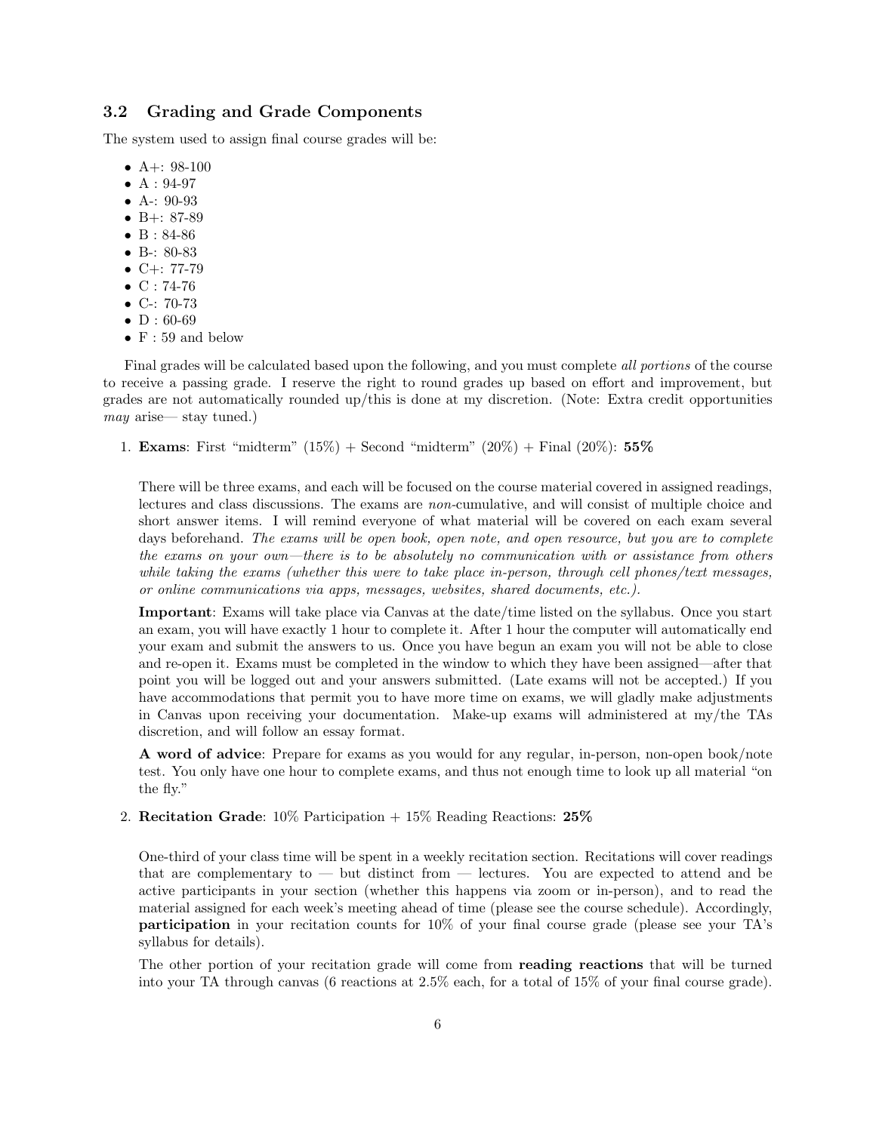### 3.2 Grading and Grade Components

The system used to assign final course grades will be:

- A+:  $98-100$
- $A: 94-97$
- A-: 90-93
- B $+$ : 87-89
- B : 84-86
- B-: 80-83
- $C+: 77-79$
- $C: 74-76$
- C-: 70-73
- $\bullet$  D : 60-69
- $F: 59$  and below

Final grades will be calculated based upon the following, and you must complete all portions of the course to receive a passing grade. I reserve the right to round grades up based on effort and improvement, but grades are not automatically rounded up/this is done at my discretion. (Note: Extra credit opportunities may arise— stay tuned.)

1. **Exams**: First "midterm"  $(15\%)$  + Second "midterm"  $(20\%)$  + Final  $(20\%)$ : 55%

There will be three exams, and each will be focused on the course material covered in assigned readings, lectures and class discussions. The exams are non-cumulative, and will consist of multiple choice and short answer items. I will remind everyone of what material will be covered on each exam several days beforehand. The exams will be open book, open note, and open resource, but you are to complete the exams on your own—there is to be absolutely no communication with or assistance from others while taking the exams (whether this were to take place in-person, through cell phones/text messages, or online communications via apps, messages, websites, shared documents, etc.).

Important: Exams will take place via Canvas at the date/time listed on the syllabus. Once you start an exam, you will have exactly 1 hour to complete it. After 1 hour the computer will automatically end your exam and submit the answers to us. Once you have begun an exam you will not be able to close and re-open it. Exams must be completed in the window to which they have been assigned—after that point you will be logged out and your answers submitted. (Late exams will not be accepted.) If you have accommodations that permit you to have more time on exams, we will gladly make adjustments in Canvas upon receiving your documentation. Make-up exams will administered at my/the TAs discretion, and will follow an essay format.

A word of advice: Prepare for exams as you would for any regular, in-person, non-open book/note test. You only have one hour to complete exams, and thus not enough time to look up all material "on the fly."

2. Recitation Grade:  $10\%$  Participation  $+15\%$  Reading Reactions:  $25\%$ 

One-third of your class time will be spent in a weekly recitation section. Recitations will cover readings that are complementary to — but distinct from — lectures. You are expected to attend and be active participants in your section (whether this happens via zoom or in-person), and to read the material assigned for each week's meeting ahead of time (please see the course schedule). Accordingly, participation in your recitation counts for 10% of your final course grade (please see your TA's syllabus for details).

The other portion of your recitation grade will come from reading reactions that will be turned into your TA through canvas (6 reactions at 2.5% each, for a total of 15% of your final course grade).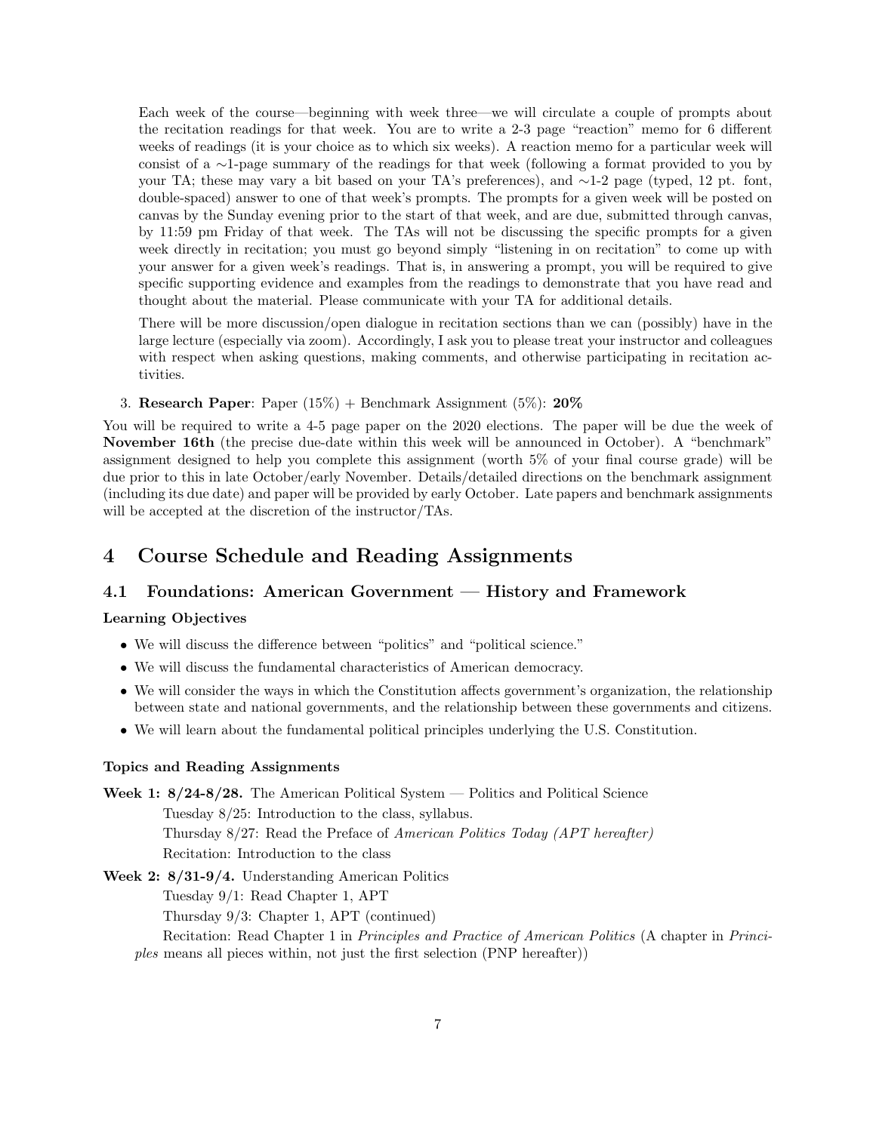Each week of the course—beginning with week three—we will circulate a couple of prompts about the recitation readings for that week. You are to write a 2-3 page "reaction" memo for 6 different weeks of readings (it is your choice as to which six weeks). A reaction memo for a particular week will consist of a ∼1-page summary of the readings for that week (following a format provided to you by your TA; these may vary a bit based on your TA's preferences), and ∼1-2 page (typed, 12 pt. font, double-spaced) answer to one of that week's prompts. The prompts for a given week will be posted on canvas by the Sunday evening prior to the start of that week, and are due, submitted through canvas, by 11:59 pm Friday of that week. The TAs will not be discussing the specific prompts for a given week directly in recitation; you must go beyond simply "listening in on recitation" to come up with your answer for a given week's readings. That is, in answering a prompt, you will be required to give specific supporting evidence and examples from the readings to demonstrate that you have read and thought about the material. Please communicate with your TA for additional details.

There will be more discussion/open dialogue in recitation sections than we can (possibly) have in the large lecture (especially via zoom). Accordingly, I ask you to please treat your instructor and colleagues with respect when asking questions, making comments, and otherwise participating in recitation activities.

3. Research Paper: Paper  $(15\%)$  + Benchmark Assignment  $(5\%)$ : 20%

You will be required to write a 4-5 page paper on the 2020 elections. The paper will be due the week of November 16th (the precise due-date within this week will be announced in October). A "benchmark" assignment designed to help you complete this assignment (worth 5% of your final course grade) will be due prior to this in late October/early November. Details/detailed directions on the benchmark assignment (including its due date) and paper will be provided by early October. Late papers and benchmark assignments will be accepted at the discretion of the instructor/TAs.

# 4 Course Schedule and Reading Assignments

### 4.1 Foundations: American Government — History and Framework

#### Learning Objectives

- We will discuss the difference between "politics" and "political science."
- We will discuss the fundamental characteristics of American democracy.
- We will consider the ways in which the Constitution affects government's organization, the relationship between state and national governments, and the relationship between these governments and citizens.
- We will learn about the fundamental political principles underlying the U.S. Constitution.

#### Topics and Reading Assignments

Week 1:  $8/24-8/28$ . The American Political System — Politics and Political Science Tuesday 8/25: Introduction to the class, syllabus. Thursday 8/27: Read the Preface of American Politics Today (APT hereafter) Recitation: Introduction to the class

### Week 2: 8/31-9/4. Understanding American Politics Tuesday 9/1: Read Chapter 1, APT Thursday 9/3: Chapter 1, APT (continued) Recitation: Read Chapter 1 in Principles and Practice of American Politics (A chapter in Principles means all pieces within, not just the first selection (PNP hereafter))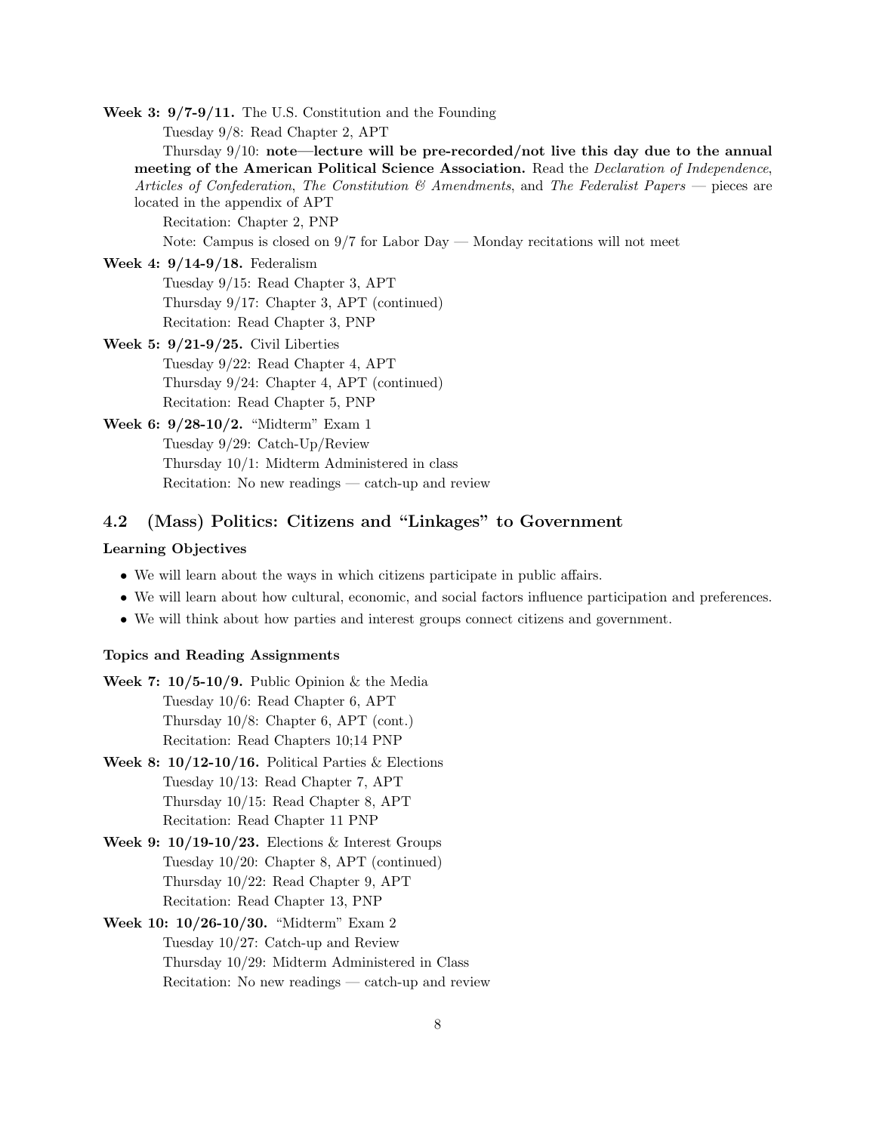Week 3: 9/7-9/11. The U.S. Constitution and the Founding

Tuesday 9/8: Read Chapter 2, APT

Thursday 9/10: note—lecture will be pre-recorded/not live this day due to the annual meeting of the American Political Science Association. Read the *Declaration of Independence*, Articles of Confederation, The Constitution  $\mathcal{B}$  Amendments, and The Federalist Papers — pieces are located in the appendix of APT

Recitation: Chapter 2, PNP

Note: Campus is closed on 9/7 for Labor Day — Monday recitations will not meet

Week 4: 9/14-9/18. Federalism

Tuesday 9/15: Read Chapter 3, APT Thursday 9/17: Chapter 3, APT (continued) Recitation: Read Chapter 3, PNP

Week 5: 9/21-9/25. Civil Liberties Tuesday 9/22: Read Chapter 4, APT Thursday 9/24: Chapter 4, APT (continued) Recitation: Read Chapter 5, PNP

Week 6: 9/28-10/2. "Midterm" Exam 1 Tuesday 9/29: Catch-Up/Review Thursday 10/1: Midterm Administered in class Recitation: No new readings — catch-up and review

### 4.2 (Mass) Politics: Citizens and "Linkages" to Government

#### Learning Objectives

- We will learn about the ways in which citizens participate in public affairs.
- We will learn about how cultural, economic, and social factors influence participation and preferences.
- We will think about how parties and interest groups connect citizens and government.

#### Topics and Reading Assignments

- Week 7:  $10/5-10/9$ . Public Opinion & the Media Tuesday 10/6: Read Chapter 6, APT Thursday 10/8: Chapter 6, APT (cont.) Recitation: Read Chapters 10;14 PNP
- Week 8:  $10/12-10/16$ . Political Parties & Elections Tuesday 10/13: Read Chapter 7, APT Thursday 10/15: Read Chapter 8, APT Recitation: Read Chapter 11 PNP
- Week 9:  $10/19-10/23$ . Elections & Interest Groups Tuesday 10/20: Chapter 8, APT (continued) Thursday 10/22: Read Chapter 9, APT Recitation: Read Chapter 13, PNP
- Week 10: 10/26-10/30. "Midterm" Exam 2 Tuesday 10/27: Catch-up and Review Thursday 10/29: Midterm Administered in Class Recitation: No new readings — catch-up and review